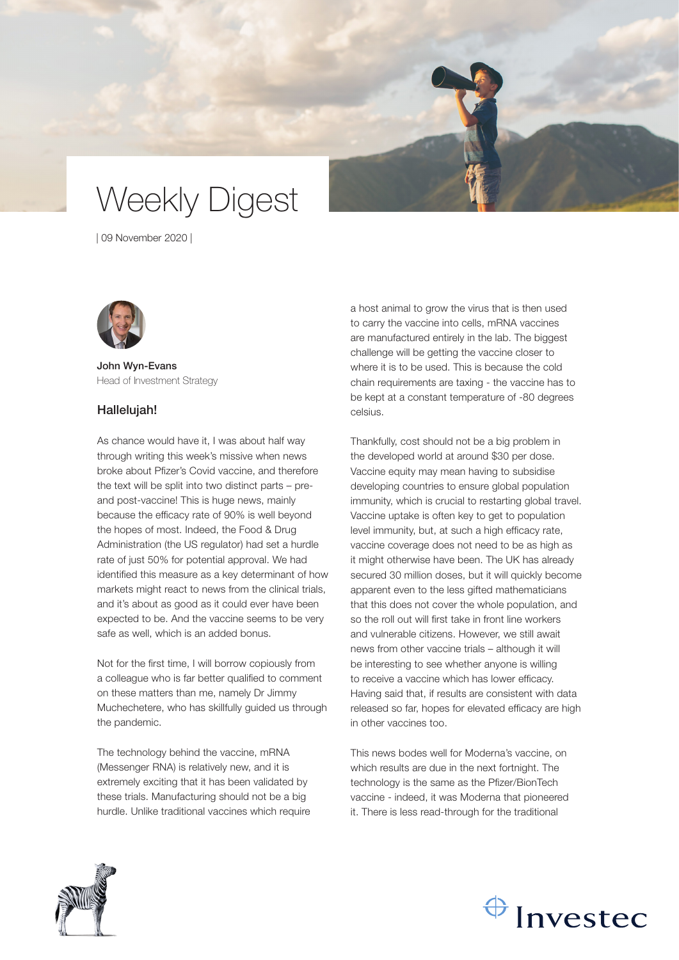

# Weekly Digest

| 09 November 2020 |



John Wyn-Evans Head of Investment Strategy

# Hallelujah!

As chance would have it, I was about half way through writing this week's missive when news broke about Pfizer's Covid vaccine, and therefore the text will be split into two distinct parts – preand post-vaccine! This is huge news, mainly because the efficacy rate of 90% is well beyond the hopes of most. Indeed, the Food & Drug Administration (the US regulator) had set a hurdle rate of just 50% for potential approval. We had identified this measure as a key determinant of how markets might react to news from the clinical trials, and it's about as good as it could ever have been expected to be. And the vaccine seems to be very safe as well, which is an added bonus.

Not for the first time, I will borrow copiously from a colleague who is far better qualified to comment on these matters than me, namely Dr Jimmy Muchechetere, who has skillfully guided us through the pandemic.

The technology behind the vaccine, mRNA (Messenger RNA) is relatively new, and it is extremely exciting that it has been validated by these trials. Manufacturing should not be a big hurdle. Unlike traditional vaccines which require a host animal to grow the virus that is then used to carry the vaccine into cells, mRNA vaccines are manufactured entirely in the lab. The biggest challenge will be getting the vaccine closer to where it is to be used. This is because the cold chain requirements are taxing - the vaccine has to be kept at a constant temperature of -80 degrees celsius.

Thankfully, cost should not be a big problem in the developed world at around \$30 per dose. Vaccine equity may mean having to subsidise developing countries to ensure global population immunity, which is crucial to restarting global travel. Vaccine uptake is often key to get to population level immunity, but, at such a high efficacy rate, vaccine coverage does not need to be as high as it might otherwise have been. The UK has already secured 30 million doses, but it will quickly become apparent even to the less gifted mathematicians that this does not cover the whole population, and so the roll out will first take in front line workers and vulnerable citizens. However, we still await news from other vaccine trials – although it will be interesting to see whether anyone is willing to receive a vaccine which has lower efficacy. Having said that, if results are consistent with data released so far, hopes for elevated efficacy are high in other vaccines too.

This news bodes well for Moderna's vaccine, on which results are due in the next fortnight. The technology is the same as the Pfizer/BionTech vaccine - indeed, it was Moderna that pioneered it. There is less read-through for the traditional



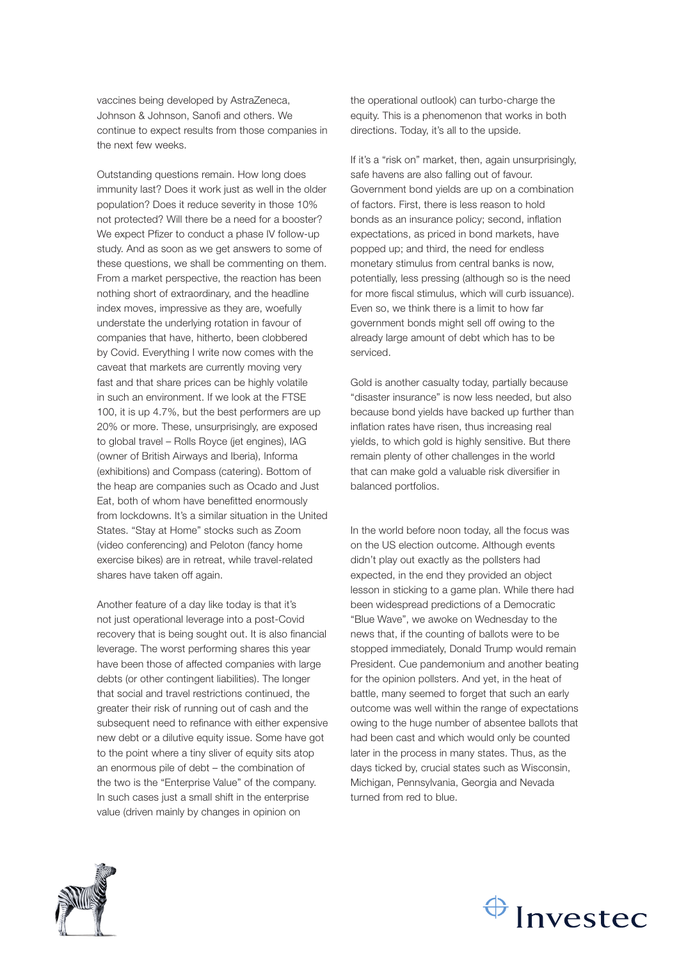vaccines being developed by AstraZeneca, Johnson & Johnson, Sanofi and others. We continue to expect results from those companies in the next few weeks.

Outstanding questions remain. How long does immunity last? Does it work just as well in the older population? Does it reduce severity in those 10% not protected? Will there be a need for a booster? We expect Pfizer to conduct a phase IV follow-up study. And as soon as we get answers to some of these questions, we shall be commenting on them. From a market perspective, the reaction has been nothing short of extraordinary, and the headline index moves, impressive as they are, woefully understate the underlying rotation in favour of companies that have, hitherto, been clobbered by Covid. Everything I write now comes with the caveat that markets are currently moving very fast and that share prices can be highly volatile in such an environment. If we look at the FTSE 100, it is up 4.7%, but the best performers are up 20% or more. These, unsurprisingly, are exposed to global travel – Rolls Royce (jet engines), IAG (owner of British Airways and Iberia), Informa (exhibitions) and Compass (catering). Bottom of the heap are companies such as Ocado and Just Eat, both of whom have benefitted enormously from lockdowns. It's a similar situation in the United States. "Stay at Home" stocks such as Zoom (video conferencing) and Peloton (fancy home exercise bikes) are in retreat, while travel-related shares have taken off again.

Another feature of a day like today is that it's not just operational leverage into a post-Covid recovery that is being sought out. It is also financial leverage. The worst performing shares this year have been those of affected companies with large debts (or other contingent liabilities). The longer that social and travel restrictions continued, the greater their risk of running out of cash and the subsequent need to refinance with either expensive new debt or a dilutive equity issue. Some have got to the point where a tiny sliver of equity sits atop an enormous pile of debt – the combination of the two is the "Enterprise Value" of the company. In such cases just a small shift in the enterprise value (driven mainly by changes in opinion on

the operational outlook) can turbo-charge the equity. This is a phenomenon that works in both directions. Today, it's all to the upside.

If it's a "risk on" market, then, again unsurprisingly, safe havens are also falling out of favour. Government bond yields are up on a combination of factors. First, there is less reason to hold bonds as an insurance policy; second, inflation expectations, as priced in bond markets, have popped up; and third, the need for endless monetary stimulus from central banks is now, potentially, less pressing (although so is the need for more fiscal stimulus, which will curb issuance). Even so, we think there is a limit to how far government bonds might sell off owing to the already large amount of debt which has to be serviced.

Gold is another casualty today, partially because "disaster insurance" is now less needed, but also because bond yields have backed up further than inflation rates have risen, thus increasing real yields, to which gold is highly sensitive. But there remain plenty of other challenges in the world that can make gold a valuable risk diversifier in balanced portfolios.

In the world before noon today, all the focus was on the US election outcome. Although events didn't play out exactly as the pollsters had expected, in the end they provided an object lesson in sticking to a game plan. While there had been widespread predictions of a Democratic "Blue Wave", we awoke on Wednesday to the news that, if the counting of ballots were to be stopped immediately, Donald Trump would remain President. Cue pandemonium and another beating for the opinion pollsters. And yet, in the heat of battle, many seemed to forget that such an early outcome was well within the range of expectations owing to the huge number of absentee ballots that had been cast and which would only be counted later in the process in many states. Thus, as the days ticked by, crucial states such as Wisconsin, Michigan, Pennsylvania, Georgia and Nevada turned from red to blue.



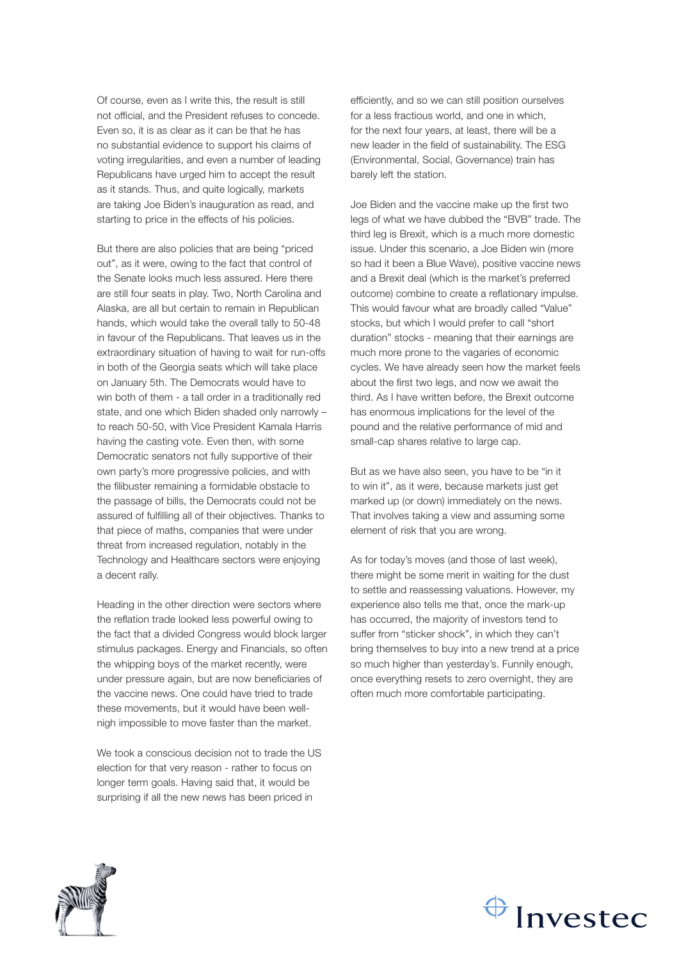Of course, even as I write this, the result is still not official, and the President refuses to concede. Even so, it is as clear as it can be that he has no substantial evidence to support his claims of voting irregularities, and even a number of leading Republicans have urged him to accept the result as it stands. Thus, and quite logically, markets are taking Joe Biden's inauguration as read, and starting to price in the effects of his policies.

But there are also policies that are being "priced out", as it were, owing to the fact that control of the Senate looks much less assured. Here there are still four seats in play. Two, North Carolina and Alaska, are all but certain to remain in Republican hands, which would take the overall tally to 50-48 in favour of the Republicans. That leaves us in the extraordinary situation of having to wait for run-offs in both of the Georgia seats which will take place on January 5th. The Democrats would have to win both of them - a tall order in a traditionally red state, and one which Biden shaded only narrowly – to reach 50-50, with Vice President Kamala Harris having the casting vote. Even then, with some Democratic senators not fully supportive of their own party's more progressive policies, and with the filibuster remaining a formidable obstacle to the passage of bills, the Democrats could not be assured of fulfilling all of their objectives. Thanks to that piece of maths, companies that were under threat from increased regulation, notably in the Technology and Healthcare sectors were enjoying a decent rally.

Heading in the other direction were sectors where the reflation trade looked less powerful owing to the fact that a divided Congress would block larger stimulus packages. Energy and Financials, so often the whipping boys of the market recently, were under pressure again, but are now beneficiaries of the vaccine news. One could have tried to trade these movements, but it would have been wellnigh impossible to move faster than the market.

We took a conscious decision not to trade the US election for that very reason - rather to focus on longer term goals. Having said that, it would be surprising if all the new news has been priced in

efficiently, and so we can still position ourselves for a less fractious world, and one in which, for the next four years, at least, there will be a new leader in the field of sustainability. The ESG (Environmental, Social, Governance) train has barely left the station.

Joe Biden and the vaccine make up the first two legs of what we have dubbed the "BVB" trade. The third leg is Brexit, which is a much more domestic issue. Under this scenario, a Joe Biden win (more so had it been a Blue Wave), positive vaccine news and a Brexit deal (which is the market's preferred outcome) combine to create a reflationary impulse. This would favour what are broadly called "Value" stocks, but which I would prefer to call "short duration" stocks - meaning that their earnings are much more prone to the vagaries of economic cycles. We have already seen how the market feels about the first two legs, and now we await the third. As I have written before, the Brexit outcome has enormous implications for the level of the pound and the relative performance of mid and small-cap shares relative to large cap.

But as we have also seen, you have to be "in it to win it", as it were, because markets just get marked up (or down) immediately on the news. That involves taking a view and assuming some element of risk that you are wrong.

As for today's moves (and those of last week), there might be some merit in waiting for the dust to settle and reassessing valuations. However, my experience also tells me that, once the mark-up has occurred, the majority of investors tend to suffer from "sticker shock", in which they can't bring themselves to buy into a new trend at a price so much higher than yesterday's. Funnily enough, once everything resets to zero overnight, they are often much more comfortable participating.